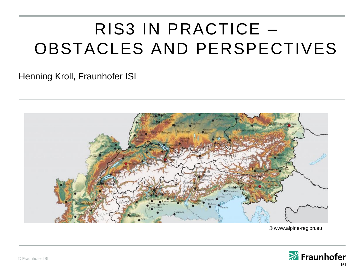# RIS3 IN PRACTICE – OBSTACLES AND PERSPECTIVES

#### Henning Kroll, Fraunhofer ISI



© www.alpine-region.eu

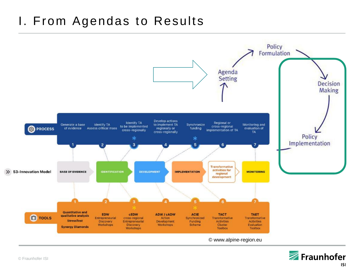### I. From Agendas to Results



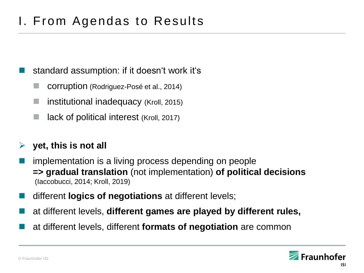# I. From Agendas to Results

- standard assumption: if it doesn't work it's
	- corruption (Rodriguez-Posé et al., 2014)
	- institutional inadequacy (Kroll, 2015)
	- lack of political interest (Kroll, 2017)

#### **yet, this is not all**

- implementation is a living process depending on people **=> gradual translation** (not implementation) **of political decisions** (Iaccobucci, 2014; Kroll, 2019)
- different **logics of negotiations** at different levels;
- at different levels, **different games are played by different rules,**
- at different levels, different **formats of negotiation** are common

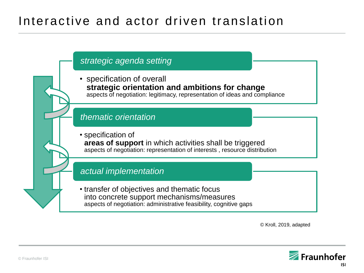### Interactive and actor driven translation



© Kroll, 2019, adapted

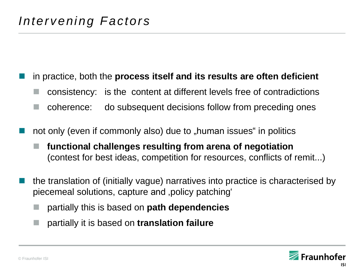#### in practice, both the **process itself and its results are often deficient**

- consistency: is the content at different levels free of contradictions
- coherence: do subsequent decisions follow from preceding ones
- not only (even if commonly also) due to "human issues" in politics
	- **functional challenges resulting from arena of negotiation** (contest for best ideas, competition for resources, conflicts of remit...)
- the translation of (initially vague) narratives into practice is characterised by piecemeal solutions, capture and 'policy patching'
	- partially this is based on **path dependencies**
	- partially it is based on **translation failure**

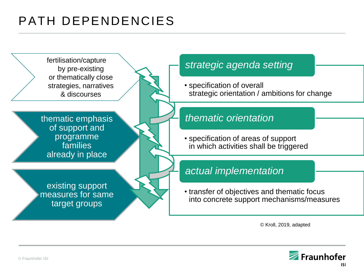# PATH DEPENDENCIES



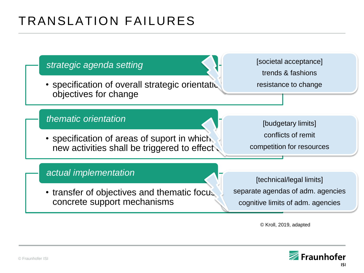# TRANSLATION FAILURES



© Kroll, 2019, adapted

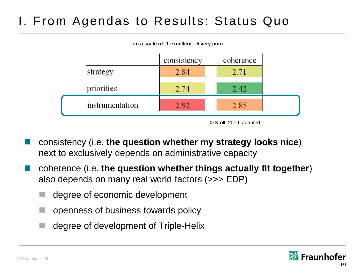# I. From Agendas to Results: Status Quo



<sup>©</sup> Kroll, 2019, adapted

- consistency (i.e. **the question whether my strategy looks nice**) next to exclusively depends on administrative capacity
- coherence (i.e. **the question whether things actually fit together**) also depends on many real world factors (>>> EDP)
	- degree of economic development
	- $\Box$  openness of business towards policy
	- degree of development of Triple-Helix

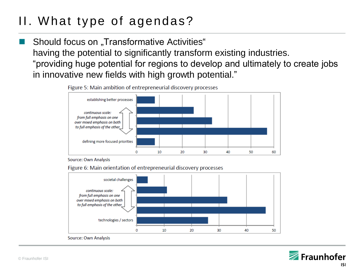# II. What type of agendas?

Should focus on "Transformative Activities" having the potential to significantly transform existing industries. "providing huge potential for regions to develop and ultimately to create jobs in innovative new fields with high growth potential."



Figure 5: Main ambition of entrepreneurial discovery processes

Source: Own Analysis

Figure 6: Main orientation of entrepreneurial discovery processes



Source: Own Analysis

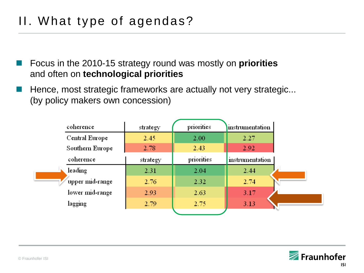- Focus in the 2010-15 strategy round was mostly on **priorities** and often on **technological priorities**
- Hence, most strategic frameworks are actually not very strategic... (by policy makers own concession)

| coherence       | strategy | priorities | instrumentation |  |
|-----------------|----------|------------|-----------------|--|
| Central Europe  | 2.45     | 2.00       | 2.27            |  |
| Southern Europe | 2.78     | 2.43       | 2.92            |  |
| coherence       | strategy | priorities | instrumentation |  |
| leading         | 2.31     | 2.04       | 2.44            |  |
| upper mid-range | 2.76     | 2.32       | 2.74            |  |
| lower mid-range | 2.93     | 2.63       | 3.17            |  |
| lagging         | 2.79     | 2.75       | 3.13            |  |
|                 |          |            |                 |  |

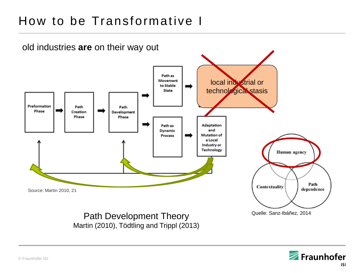# How to be Transformative I



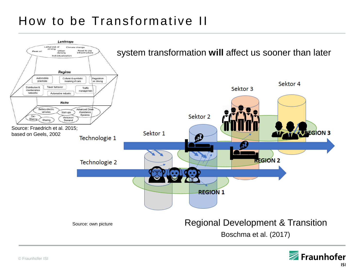# How to be Transformative II



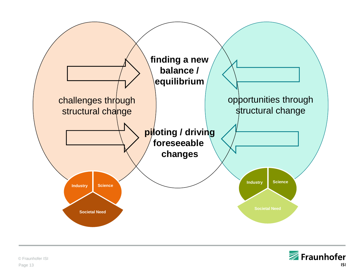

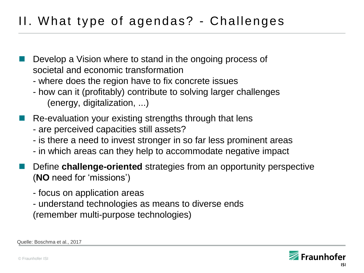# II. What type of agendas? - Challenges

- Develop a Vision where to stand in the ongoing process of societal and economic transformation
	- where does the region have to fix concrete issues
	- how can it (profitably) contribute to solving larger challenges (energy, digitalization, ...)
- Re-evaluation your existing strengths through that lens
	- are perceived capacities still assets?
	- is there a need to invest stronger in so far less prominent areas
	- in which areas can they help to accommodate negative impact
- Define **challenge-oriented** strategies from an opportunity perspective (**NO** need for 'missions')
	- focus on application areas
	- understand technologies as means to diverse ends (remember multi-purpose technologies)



Quelle: Boschma et al., 2017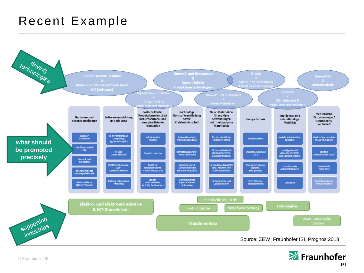### Recent Example





© Fraunhofer ISI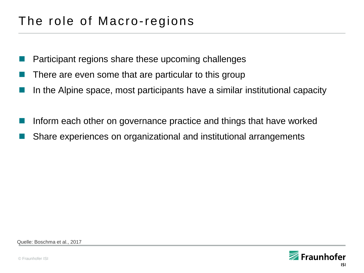# The role of Macro-regions

- Participant regions share these upcoming challenges
- There are even some that are particular to this group
- In the Alpine space, most participants have a similar institutional capacity
- Inform each other on governance practice and things that have worked
- Share experiences on organizational and institutional arrangements

Quelle: Boschma et al., 2017